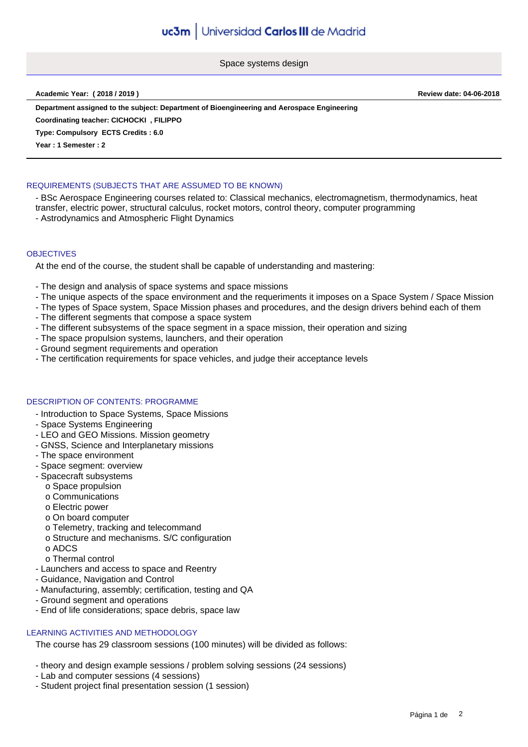Space systems design

#### **Academic Year: ( 2018 / 2019 ) Review date: 04-06-2018**

**Department assigned to the subject: Department of Bioengineering and Aerospace Engineering**

**Coordinating teacher: CICHOCKI , FILIPPO**

**Type: Compulsory ECTS Credits : 6.0**

**Year : 1 Semester : 2**

# REQUIREMENTS (SUBJECTS THAT ARE ASSUMED TO BE KNOWN)

- BSc Aerospace Engineering courses related to: Classical mechanics, electromagnetism, thermodynamics, heat transfer, electric power, structural calculus, rocket motors, control theory, computer programming

- Astrodynamics and Atmospheric Flight Dynamics

### **OBJECTIVES**

At the end of the course, the student shall be capable of understanding and mastering:

- The design and analysis of space systems and space missions
- The unique aspects of the space environment and the requeriments it imposes on a Space System / Space Mission
- The types of Space system, Space Mission phases and procedures, and the design drivers behind each of them
- The different segments that compose a space system
- The different subsystems of the space segment in a space mission, their operation and sizing
- The space propulsion systems, launchers, and their operation
- Ground segment requirements and operation
- The certification requirements for space vehicles, and judge their acceptance levels

### DESCRIPTION OF CONTENTS: PROGRAMME

- Introduction to Space Systems, Space Missions
- Space Systems Engineering
- LEO and GEO Missions. Mission geometry
- GNSS, Science and Interplanetary missions
- The space environment
- Space segment: overview
- Spacecraft subsystems
	- o Space propulsion
	- o Communications
	- o Electric power
	- o On board computer
	- o Telemetry, tracking and telecommand
	- o Structure and mechanisms. S/C configuration
	- o ADCS
	- o Thermal control
- Launchers and access to space and Reentry
- Guidance, Navigation and Control
- Manufacturing, assembly; certification, testing and QA
- Ground segment and operations
- End of life considerations; space debris, space law

# LEARNING ACTIVITIES AND METHODOLOGY

The course has 29 classroom sessions (100 minutes) will be divided as follows:

- theory and design example sessions / problem solving sessions (24 sessions)
- Lab and computer sessions (4 sessions)
- Student project final presentation session (1 session)